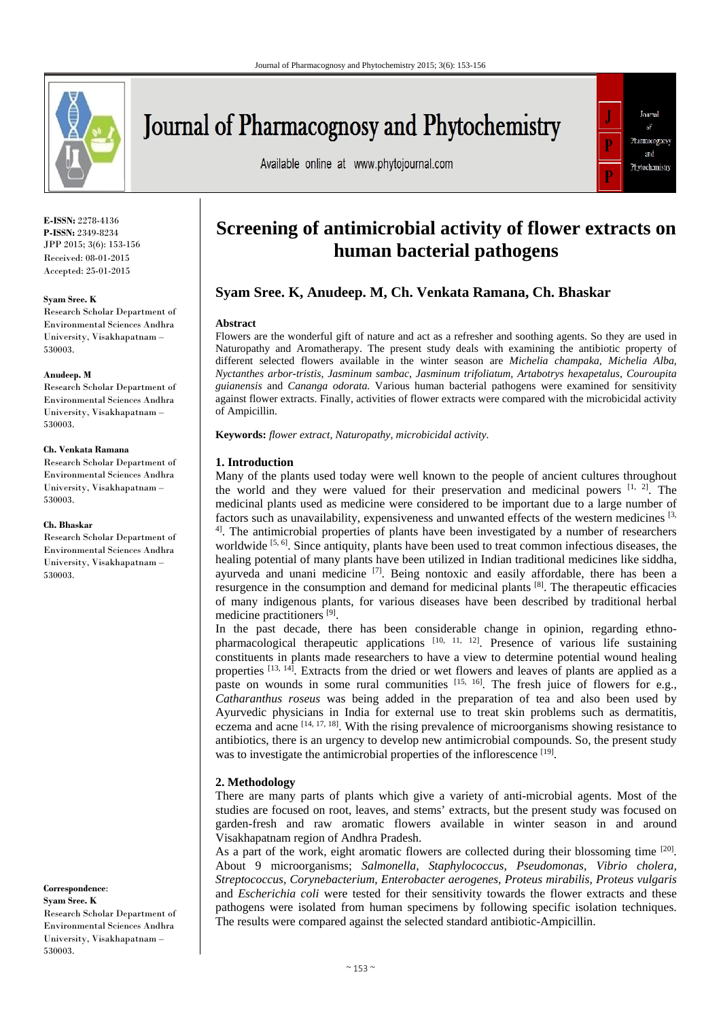

# **Journal of Pharmacognosy and Phytochemistry**

Available online at www.phytojournal.com



**E-ISSN:** 2278-4136 **P-ISSN:** 2349-8234 JPP 2015; 3(6): 153-156 Received: 08-01-2015 Accepted: 25-01-2015

#### **Syam Sree. K**

Research Scholar Department of Environmental Sciences Andhra University, Visakhapatnam – 530003.

#### **Anudeep. M**

Research Scholar Department of Environmental Sciences Andhra University, Visakhapatnam – 530003.

#### **Ch. Venkata Ramana**

Research Scholar Department of Environmental Sciences Andhra University, Visakhapatnam – 530003.

#### **Ch. Bhaskar**

Research Scholar Department of Environmental Sciences Andhra University, Visakhapatnam – 530003.

#### **Correspondence**:

**Syam Sree. K** Research Scholar Department of Environmental Sciences Andhra University, Visakhapatnam – 530003.

# **Screening of antimicrobial activity of flower extracts on human bacterial pathogens**

# **Syam Sree. K, Anudeep. M, Ch. Venkata Ramana, Ch. Bhaskar**

#### **Abstract**

Flowers are the wonderful gift of nature and act as a refresher and soothing agents. So they are used in Naturopathy and Aromatherapy. The present study deals with examining the antibiotic property of different selected flowers available in the winter season are *Michelia champaka, Michelia Alba, Nyctanthes arbor-tristis, Jasminum sambac, Jasminum trifoliatum, Artabotrys hexapetalus, Couroupita guianensis* and *Cananga odorata.* Various human bacterial pathogens were examined for sensitivity against flower extracts. Finally, activities of flower extracts were compared with the microbicidal activity of Ampicillin.

**Keywords:** *flower extract, Naturopathy, microbicidal activity.*

#### **1. Introduction**

Many of the plants used today were well known to the people of ancient cultures throughout the world and they were valued for their preservation and medicinal powers [1, 2]. The medicinal plants used as medicine were considered to be important due to a large number of factors such as unavailability, expensiveness and unwanted effects of the western medicines [3,  $4$ ]. The antimicrobial properties of plants have been investigated by a number of researchers worldwide [5, 6]. Since antiquity, plants have been used to treat common infectious diseases, the healing potential of many plants have been utilized in Indian traditional medicines like siddha, ayurveda and unani medicine  $[7]$ . Being nontoxic and easily affordable, there has been a resurgence in the consumption and demand for medicinal plants [8]. The therapeutic efficacies of many indigenous plants, for various diseases have been described by traditional herbal medicine practitioners [9].

In the past decade, there has been considerable change in opinion, regarding ethnopharmacological therapeutic applications  $[10, 11, 12]$ . Presence of various life sustaining constituents in plants made researchers to have a view to determine potential wound healing properties [13, 14]. Extracts from the dried or wet flowers and leaves of plants are applied as a paste on wounds in some rural communities  $[15, 16]$ . The fresh juice of flowers for e.g., *Catharanthus roseus* was being added in the preparation of tea and also been used by Ayurvedic physicians in India for external use to treat skin problems such as dermatitis, eczema and acne  $[14, 17, 18]$ . With the rising prevalence of microorganisms showing resistance to antibiotics, there is an urgency to develop new antimicrobial compounds. So, the present study was to investigate the antimicrobial properties of the inflorescence [19].

## **2. Methodology**

There are many parts of plants which give a variety of anti-microbial agents. Most of the studies are focused on root, leaves, and stems' extracts, but the present study was focused on garden-fresh and raw aromatic flowers available in winter season in and around Visakhapatnam region of Andhra Pradesh.

As a part of the work, eight aromatic flowers are collected during their blossoming time  $[20]$ . About 9 microorganisms; *Salmonella, Staphylococcus, Pseudomonas, Vibrio cholera, Streptococcus, Corynebacterium, Enterobacter aerogenes, Proteus mirabilis, Proteus vulgaris*  and *Escherichia coli* were tested for their sensitivity towards the flower extracts and these pathogens were isolated from human specimens by following specific isolation techniques. The results were compared against the selected standard antibiotic-Ampicillin.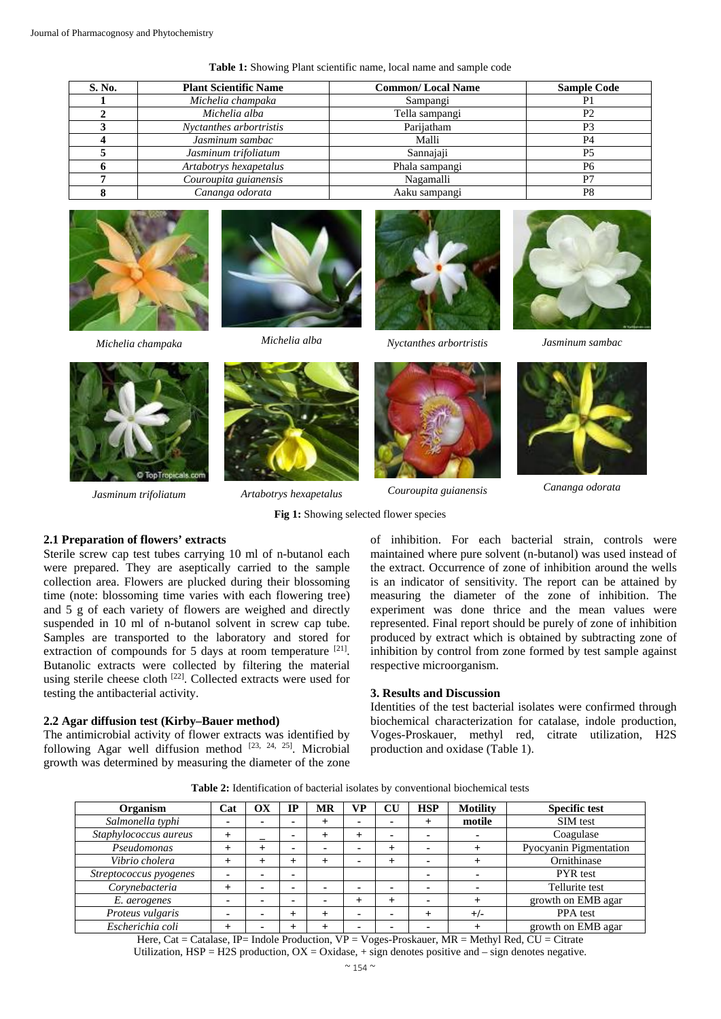| S. No. | <b>Plant Scientific Name</b> | <b>Common/Local Name</b> | <b>Sample Code</b> |
|--------|------------------------------|--------------------------|--------------------|
|        | Michelia champaka            | Sampangi                 | P1                 |
|        | Michelia alba                | Tella sampangi           | P <sub>2</sub>     |
|        | Nyctanthes arbortristis      | Parijatham               | P <sub>3</sub>     |
|        | Jasminum sambac              | Malli                    | P <sub>4</sub>     |
|        | Jasminum trifoliatum         | Sannajaji                | P <sub>5</sub>     |
|        | Artabotrys hexapetalus       | Phala sampangi           | P <sub>6</sub>     |
|        | Couroupita guianensis        | Nagamalli                | P7                 |
|        | Cananga odorata              | Aaku sampangi            | P8                 |









*Michelia champaka Michelia alba Nyctanthes arbortristis Jasminum sambac* 



*Jasminum trifoliatum Artabotrys hexapetalus Couroupita guianensis Cananga odorata* 





# **Fig 1:** Showing selected flower species

# **2.1 Preparation of flowers' extracts**

Sterile screw cap test tubes carrying 10 ml of n-butanol each were prepared. They are aseptically carried to the sample collection area. Flowers are plucked during their blossoming time (note: blossoming time varies with each flowering tree) and 5 g of each variety of flowers are weighed and directly suspended in 10 ml of n-butanol solvent in screw cap tube. Samples are transported to the laboratory and stored for extraction of compounds for 5 days at room temperature <sup>[21]</sup>. Butanolic extracts were collected by filtering the material using sterile cheese cloth <sup>[22]</sup>. Collected extracts were used for testing the antibacterial activity.

# **2.2 Agar diffusion test (Kirby–Bauer method)**

The antimicrobial activity of flower extracts was identified by following Agar well diffusion method  $[23, 24, 25]$ . Microbial growth was determined by measuring the diameter of the zone of inhibition. For each bacterial strain, controls were maintained where pure solvent (n-butanol) was used instead of the extract. Occurrence of zone of inhibition around the wells is an indicator of sensitivity. The report can be attained by measuring the diameter of the zone of inhibition. The experiment was done thrice and the mean values were represented. Final report should be purely of zone of inhibition produced by extract which is obtained by subtracting zone of inhibition by control from zone formed by test sample against respective microorganism.

#### **3. Results and Discussion**

Identities of the test bacterial isolates were confirmed through biochemical characterization for catalase, indole production, Voges-Proskauer, methyl red, citrate utilization, H2S production and oxidase (Table 1).

**Table 2:** Identification of bacterial isolates by conventional biochemical tests

| Organism               | Cat            | OХ | IP             | MR        | VP | CU | <b>HSP</b> | <b>Motility</b> | <b>Specific test</b>   |
|------------------------|----------------|----|----------------|-----------|----|----|------------|-----------------|------------------------|
| Salmonella typhi       | ٠              |    | ۰              | $\pm$     |    |    |            | motile          | SIM test               |
| Staphylococcus aureus  |                |    | $\blacksquare$ | $\pm$     |    |    |            | $\blacksquare$  | Coagulase              |
| Pseudomonas            |                |    | $\blacksquare$ | ۰         |    |    |            |                 | Pyocyanin Pigmentation |
| Vibrio cholera         |                |    | +              | $^{+}$    |    |    |            |                 | Ornithinase            |
| Streptococcus pyogenes | ۰              | -  |                |           |    |    |            | $\blacksquare$  | <b>PYR</b> test        |
| Corynebacteria         | $\,{}^+$       |    | -              |           |    |    |            |                 | Tellurite test         |
| E. aerogenes           | $\blacksquare$ |    | -              |           |    |    |            |                 | growth on EMB agar     |
| Proteus vulgaris       |                |    |                | $\ddot{}$ |    |    |            | $+/-$           | PPA test               |
| Escherichia coli       |                |    |                | $^{+}$    |    |    |            |                 | growth on EMB agar     |

Here, Cat = Catalase, IP= Indole Production, VP = Voges-Proskauer, MR = Methyl Red, CU = Citrate Utilization,  $HSP = H2S$  production,  $OX = Ox$  dase,  $+$  sign denotes positive and  $-$  sign denotes negative.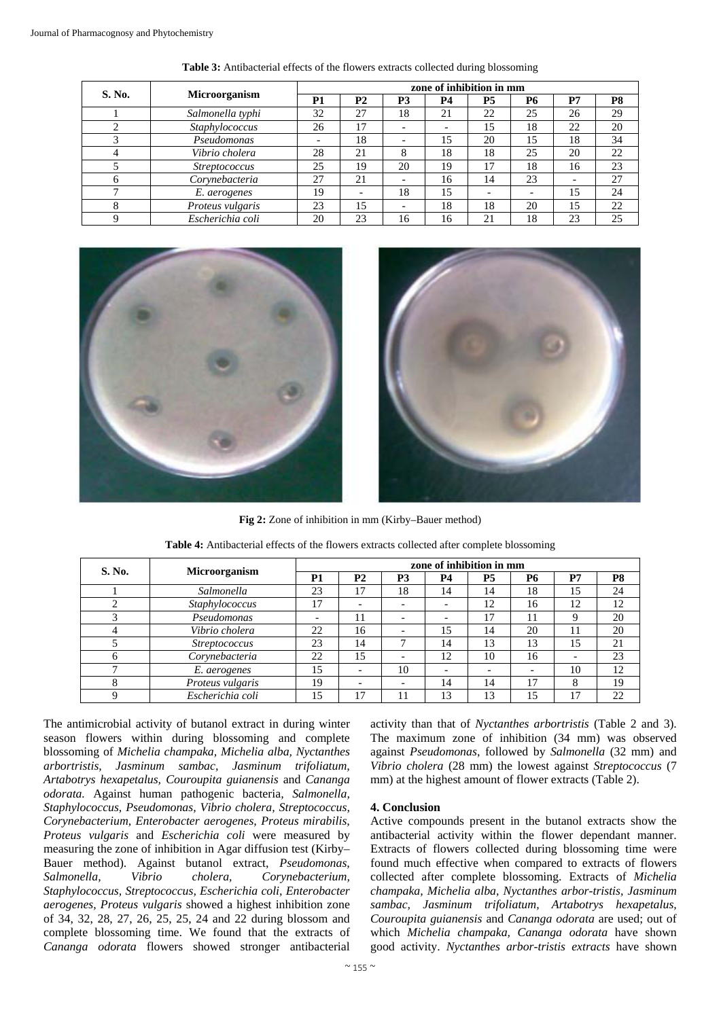| S. No.       | <b>Microorganism</b> | zone of inhibition in mm |                |                          |                          |                          |    |                          |                |  |
|--------------|----------------------|--------------------------|----------------|--------------------------|--------------------------|--------------------------|----|--------------------------|----------------|--|
|              |                      | P <sub>1</sub>           | P <sub>2</sub> | <b>P3</b>                | <b>P4</b>                | <b>P5</b>                | P6 | P7                       | P <sub>8</sub> |  |
|              | Salmonella typhi     | 32                       | 27             | 18                       | 21                       | 22                       | 25 | 26                       | 29             |  |
|              | Staphylococcus       | 26                       | 17             | $\overline{\phantom{0}}$ | $\overline{\phantom{a}}$ | 15                       | 18 | 22                       | 20             |  |
| 3            | Pseudomonas          |                          | 18             | $\overline{\phantom{0}}$ | 15                       | 20                       | 15 | 18                       | 34             |  |
|              | Vibrio cholera       | 28                       | 21             | ົ                        | 18                       | 18                       | 25 | 20                       | 22             |  |
|              | <i>Streptococcus</i> | 25                       | 19             | 20                       | 19                       | 17                       | 18 | 16                       | 23             |  |
| <sub>(</sub> | Corynebacteria       | 27                       | 21             | -                        | 16                       | 14                       | 23 | $\overline{\phantom{0}}$ | 27             |  |
|              | E. aerogenes         | 19                       |                | 18                       | 15                       | $\overline{\phantom{0}}$ |    | 15                       | 24             |  |
| 8            | Proteus vulgaris     | 23                       | 15             |                          | 18                       | 18                       | 20 | 15                       | 22             |  |
| Q            | Escherichia coli     | 20                       | 23             | 16                       | 16                       | 21                       | 18 | 23                       | 25             |  |

**Table 3:** Antibacterial effects of the flowers extracts collected during blossoming





**Fig 2:** Zone of inhibition in mm (Kirby–Bauer method)

| S. No.       | Microorganism        | zone of inhibition in mm |                          |                          |                          |                |           |                          |                |  |
|--------------|----------------------|--------------------------|--------------------------|--------------------------|--------------------------|----------------|-----------|--------------------------|----------------|--|
|              |                      | P <sub>1</sub>           | <b>P2</b>                | P <sub>3</sub>           | <b>P4</b>                | P <sub>5</sub> | <b>P6</b> | P7                       | P <sub>8</sub> |  |
|              | Salmonella           | 23                       | 17                       | 18                       | 14                       | 14             | 18        | 15                       | 24             |  |
|              | Staphylococcus       | 17                       | -                        | $\overline{\phantom{0}}$ | $\overline{\phantom{a}}$ | 12             | 16        | 12                       | 12             |  |
|              | Pseudomonas          | -                        | 11                       | $\overline{\phantom{0}}$ | $\overline{\phantom{0}}$ | 17             | 11        | 9                        | 20             |  |
|              | Vibrio cholera       | 22                       | 16                       |                          | 15                       | 14             | 20        | 11                       | 20             |  |
|              | <i>Streptococcus</i> | 23                       | 14                       |                          | 14                       | 13             | 13        | 15                       | 21             |  |
| <sub>6</sub> | Corynebacteria       | 22                       | 15                       |                          | 12                       | 10             | 16        | $\overline{\phantom{0}}$ | 23             |  |
|              | E. aerogenes         | 15                       | $\overline{\phantom{0}}$ | 10                       | $\overline{\phantom{0}}$ |                |           | 10                       | 12             |  |
|              | Proteus vulgaris     | 19                       | -                        | $\overline{\phantom{0}}$ | 14                       | 14             | 17        | 8                        | 19             |  |
|              | Escherichia coli     | 15                       | 17                       | 11                       | 13                       | 13             | 15        | 17                       | 22             |  |

**Table 4:** Antibacterial effects of the flowers extracts collected after complete blossoming

The antimicrobial activity of butanol extract in during winter season flowers within during blossoming and complete blossoming of *Michelia champaka, Michelia alba, Nyctanthes arbortristis, Jasminum sambac, Jasminum trifoliatum, Artabotrys hexapetalus, Couroupita guianensis* and *Cananga odorata.* Against human pathogenic bacteria*, Salmonella, Staphylococcus, Pseudomonas, Vibrio cholera, Streptococcus, Corynebacterium, Enterobacter aerogenes, Proteus mirabilis, Proteus vulgaris* and *Escherichia coli* were measured by measuring the zone of inhibition in Agar diffusion test (Kirby– Bauer method). Against butanol extract, *Pseudomonas, Salmonella, Vibrio cholera, Corynebacterium, Staphylococcus, Streptococcus, Escherichia coli, Enterobacter aerogenes, Proteus vulgaris* showed a highest inhibition zone of 34, 32, 28, 27, 26, 25, 25, 24 and 22 during blossom and complete blossoming time. We found that the extracts of *Cananga odorata* flowers showed stronger antibacterial

activity than that of *Nyctanthes arbortristis* (Table 2 and 3). The maximum zone of inhibition (34 mm) was observed against *Pseudomonas*, followed by *Salmonella* (32 mm) and *Vibrio cholera* (28 mm) the lowest against *Streptococcus* (7 mm) at the highest amount of flower extracts (Table 2).

## **4. Conclusion**

Active compounds present in the butanol extracts show the antibacterial activity within the flower dependant manner. Extracts of flowers collected during blossoming time were found much effective when compared to extracts of flowers collected after complete blossoming. Extracts of *Michelia champaka, Michelia alba, Nyctanthes arbor-tristis, Jasminum sambac, Jasminum trifoliatum, Artabotrys hexapetalus, Couroupita guianensis* and *Cananga odorata* are used; out of which *Michelia champaka, Cananga odorata* have shown good activity. *Nyctanthes arbor-tristis extracts* have shown